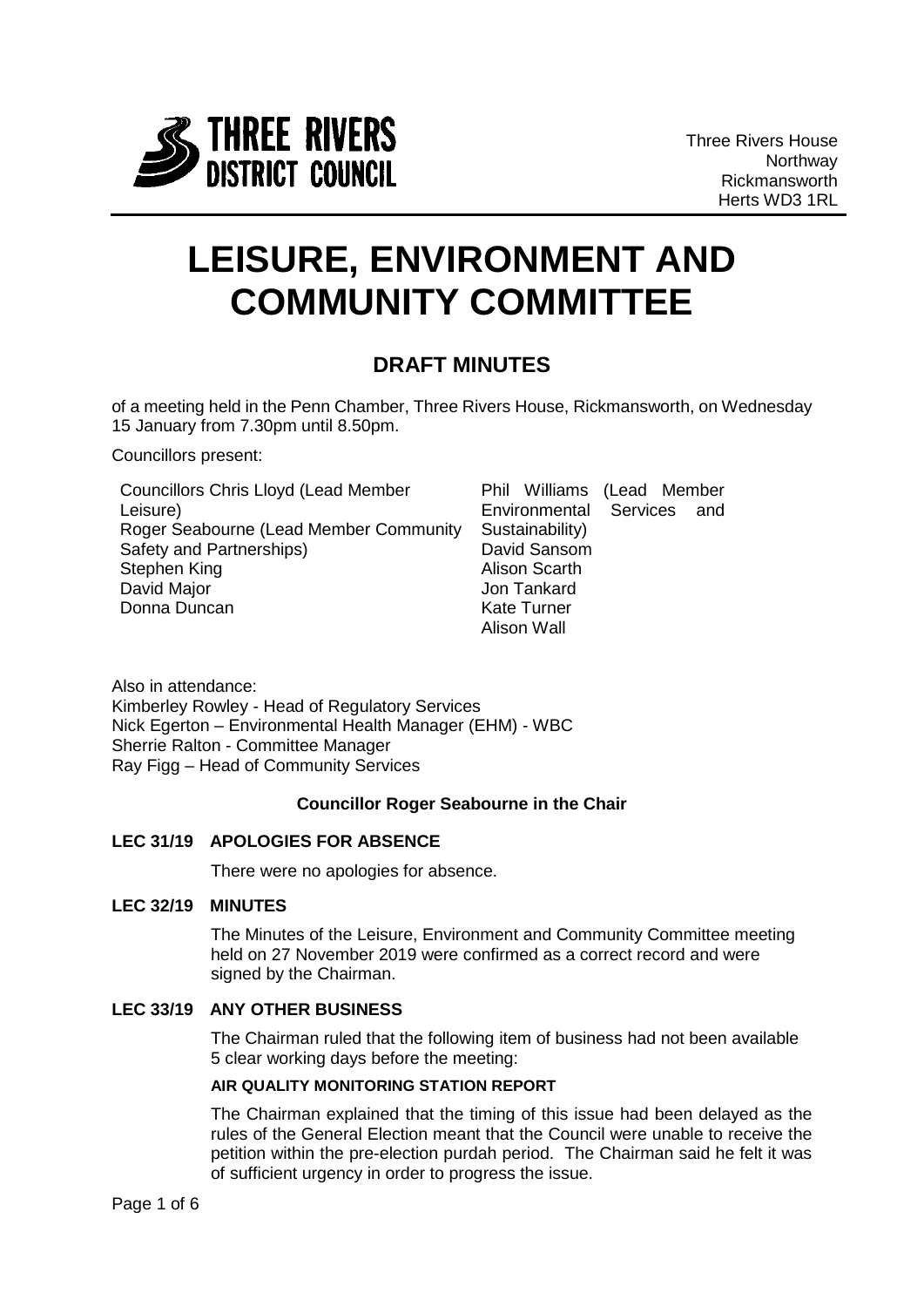

# **LEISURE, ENVIRONMENT AND COMMUNITY COMMITTEE**

# **DRAFT MINUTES**

of a meeting held in the Penn Chamber, Three Rivers House, Rickmansworth, on Wednesday 15 January from 7.30pm until 8.50pm.

Councillors present:

| <b>Councillors Chris Lloyd (Lead Member</b> |
|---------------------------------------------|
| Leisure)                                    |
| Roger Seabourne (Lead Member Community      |
| Safety and Partnerships)                    |
| Stephen King                                |
| David Major                                 |
| Donna Duncan                                |
|                                             |

|                            | Phil Williams (Lead Member |  |  |  |
|----------------------------|----------------------------|--|--|--|
| Environmental Services and |                            |  |  |  |
| Sustainability)            |                            |  |  |  |
|                            | David Sansom               |  |  |  |
| Alison Scarth              |                            |  |  |  |
|                            | Jon Tankard                |  |  |  |
|                            | Kate Turner                |  |  |  |
|                            | Alison Wall                |  |  |  |
|                            |                            |  |  |  |

Also in attendance: Kimberley Rowley - Head of Regulatory Services Nick Egerton – Environmental Health Manager (EHM) - WBC Sherrie Ralton - Committee Manager Ray Figg – Head of Community Services

# **Councillor Roger Seabourne in the Chair**

# **LEC 31/19 APOLOGIES FOR ABSENCE**

There were no apologies for absence.

# **LEC 32/19 MINUTES**

The Minutes of the Leisure, Environment and Community Committee meeting held on 27 November 2019 were confirmed as a correct record and were signed by the Chairman.

# **LEC 33/19 ANY OTHER BUSINESS**

The Chairman ruled that the following item of business had not been available 5 clear working days before the meeting:

# **AIR QUALITY MONITORING STATION REPORT**

The Chairman explained that the timing of this issue had been delayed as the rules of the General Election meant that the Council were unable to receive the petition within the pre-election purdah period. The Chairman said he felt it was of sufficient urgency in order to progress the issue.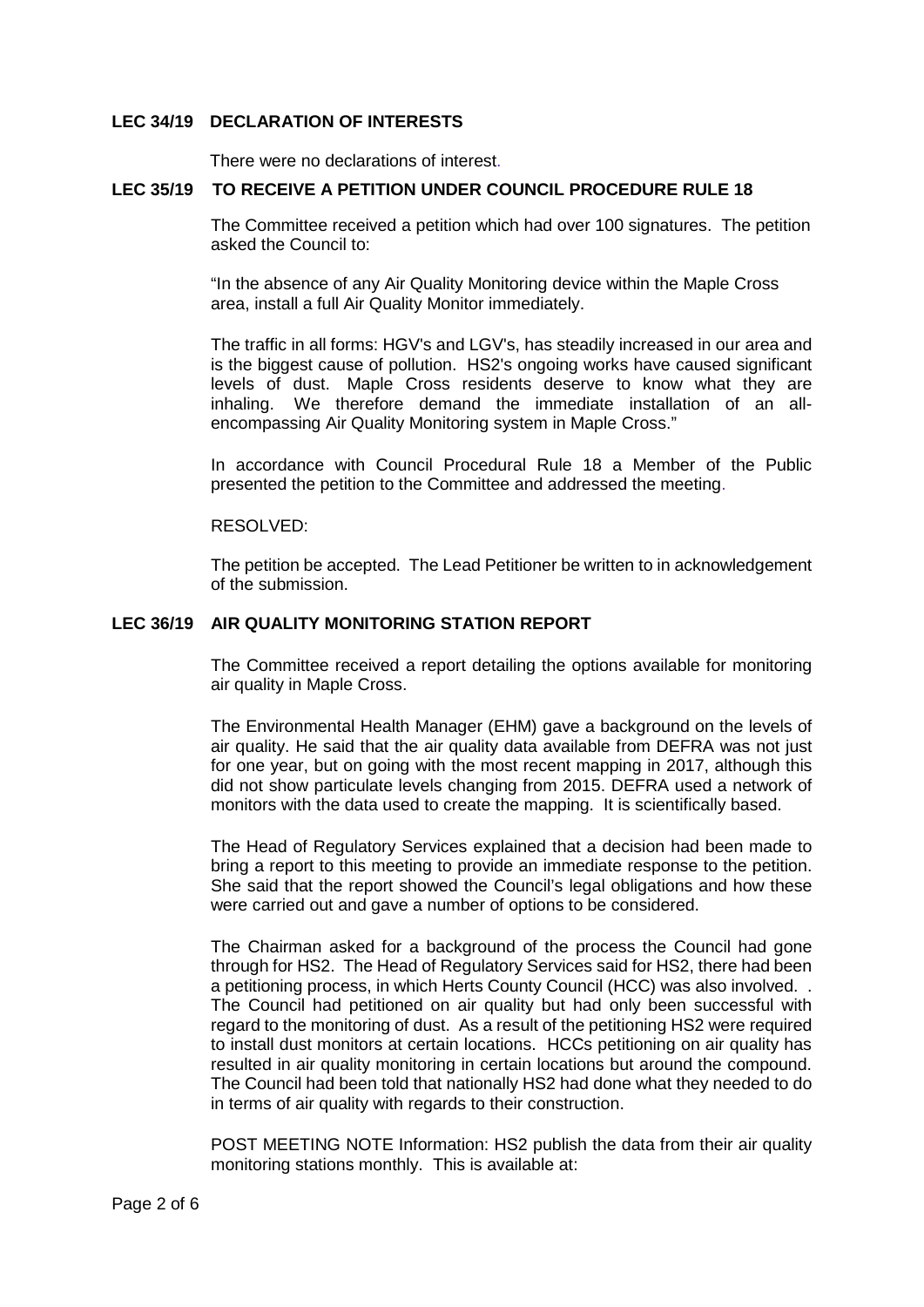#### **LEC 34/19 DECLARATION OF INTERESTS**

There were no declarations of interest.

#### **LEC 35/19 TO RECEIVE A PETITION UNDER COUNCIL PROCEDURE RULE 18**

The Committee received a petition which had over 100 signatures. The petition asked the Council to:

"In the absence of any Air Quality Monitoring device within the Maple Cross area, install a full Air Quality Monitor immediately.

The traffic in all forms: HGV's and LGV's, has steadily increased in our area and is the biggest cause of pollution. HS2's ongoing works have caused significant levels of dust. Maple Cross residents deserve to know what they are inhaling. We therefore demand the immediate installation of an allencompassing Air Quality Monitoring system in Maple Cross."

In accordance with Council Procedural Rule 18 a Member of the Public presented the petition to the Committee and addressed the meeting.

#### RESOLVED:

The petition be accepted. The Lead Petitioner be written to in acknowledgement of the submission.

# **LEC 36/19 AIR QUALITY MONITORING STATION REPORT**

The Committee received a report detailing the options available for monitoring air quality in Maple Cross.

The Environmental Health Manager (EHM) gave a background on the levels of air quality. He said that the air quality data available from DEFRA was not just for one year, but on going with the most recent mapping in 2017, although this did not show particulate levels changing from 2015. DEFRA used a network of monitors with the data used to create the mapping. It is scientifically based.

The Head of Regulatory Services explained that a decision had been made to bring a report to this meeting to provide an immediate response to the petition. She said that the report showed the Council's legal obligations and how these were carried out and gave a number of options to be considered.

The Chairman asked for a background of the process the Council had gone through for HS2. The Head of Regulatory Services said for HS2, there had been a petitioning process, in which Herts County Council (HCC) was also involved. . The Council had petitioned on air quality but had only been successful with regard to the monitoring of dust. As a result of the petitioning HS2 were required to install dust monitors at certain locations. HCCs petitioning on air quality has resulted in air quality monitoring in certain locations but around the compound. The Council had been told that nationally HS2 had done what they needed to do in terms of air quality with regards to their construction.

POST MEETING NOTE Information: HS2 publish the data from their air quality monitoring stations monthly. This is available at: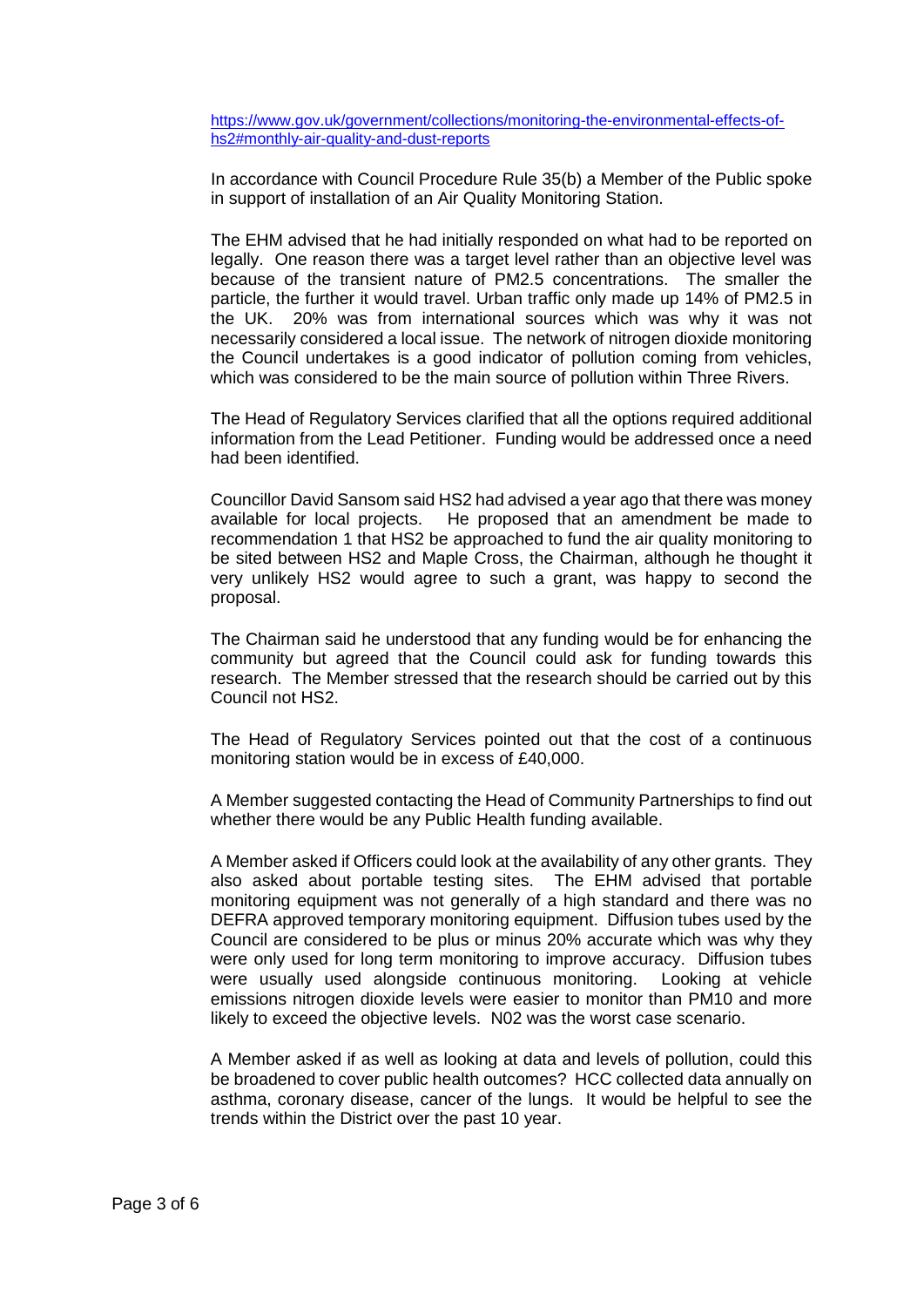[https://www.gov.uk/government/collections/monitoring-the-environmental-effects-of](https://www.gov.uk/government/collections/monitoring-the-environmental-effects-of-hs2#monthly-air-quality-and-dust-reports)[hs2#monthly-air-quality-and-dust-reports](https://www.gov.uk/government/collections/monitoring-the-environmental-effects-of-hs2#monthly-air-quality-and-dust-reports)

In accordance with Council Procedure Rule 35(b) a Member of the Public spoke in support of installation of an Air Quality Monitoring Station.

The EHM advised that he had initially responded on what had to be reported on legally. One reason there was a target level rather than an objective level was because of the transient nature of PM2.5 concentrations. The smaller the particle, the further it would travel. Urban traffic only made up 14% of PM2.5 in the UK. 20% was from international sources which was why it was not necessarily considered a local issue. The network of nitrogen dioxide monitoring the Council undertakes is a good indicator of pollution coming from vehicles, which was considered to be the main source of pollution within Three Rivers.

The Head of Regulatory Services clarified that all the options required additional information from the Lead Petitioner. Funding would be addressed once a need had been identified.

Councillor David Sansom said HS2 had advised a year ago that there was money available for local projects. He proposed that an amendment be made to recommendation 1 that HS2 be approached to fund the air quality monitoring to be sited between HS2 and Maple Cross, the Chairman, although he thought it very unlikely HS2 would agree to such a grant, was happy to second the proposal.

The Chairman said he understood that any funding would be for enhancing the community but agreed that the Council could ask for funding towards this research. The Member stressed that the research should be carried out by this Council not HS2.

The Head of Regulatory Services pointed out that the cost of a continuous monitoring station would be in excess of £40,000.

A Member suggested contacting the Head of Community Partnerships to find out whether there would be any Public Health funding available.

A Member asked if Officers could look at the availability of any other grants. They also asked about portable testing sites. The EHM advised that portable monitoring equipment was not generally of a high standard and there was no DEFRA approved temporary monitoring equipment. Diffusion tubes used by the Council are considered to be plus or minus 20% accurate which was why they were only used for long term monitoring to improve accuracy. Diffusion tubes were usually used alongside continuous monitoring. Looking at vehicle emissions nitrogen dioxide levels were easier to monitor than PM10 and more likely to exceed the objective levels. N02 was the worst case scenario.

A Member asked if as well as looking at data and levels of pollution, could this be broadened to cover public health outcomes? HCC collected data annually on asthma, coronary disease, cancer of the lungs. It would be helpful to see the trends within the District over the past 10 year.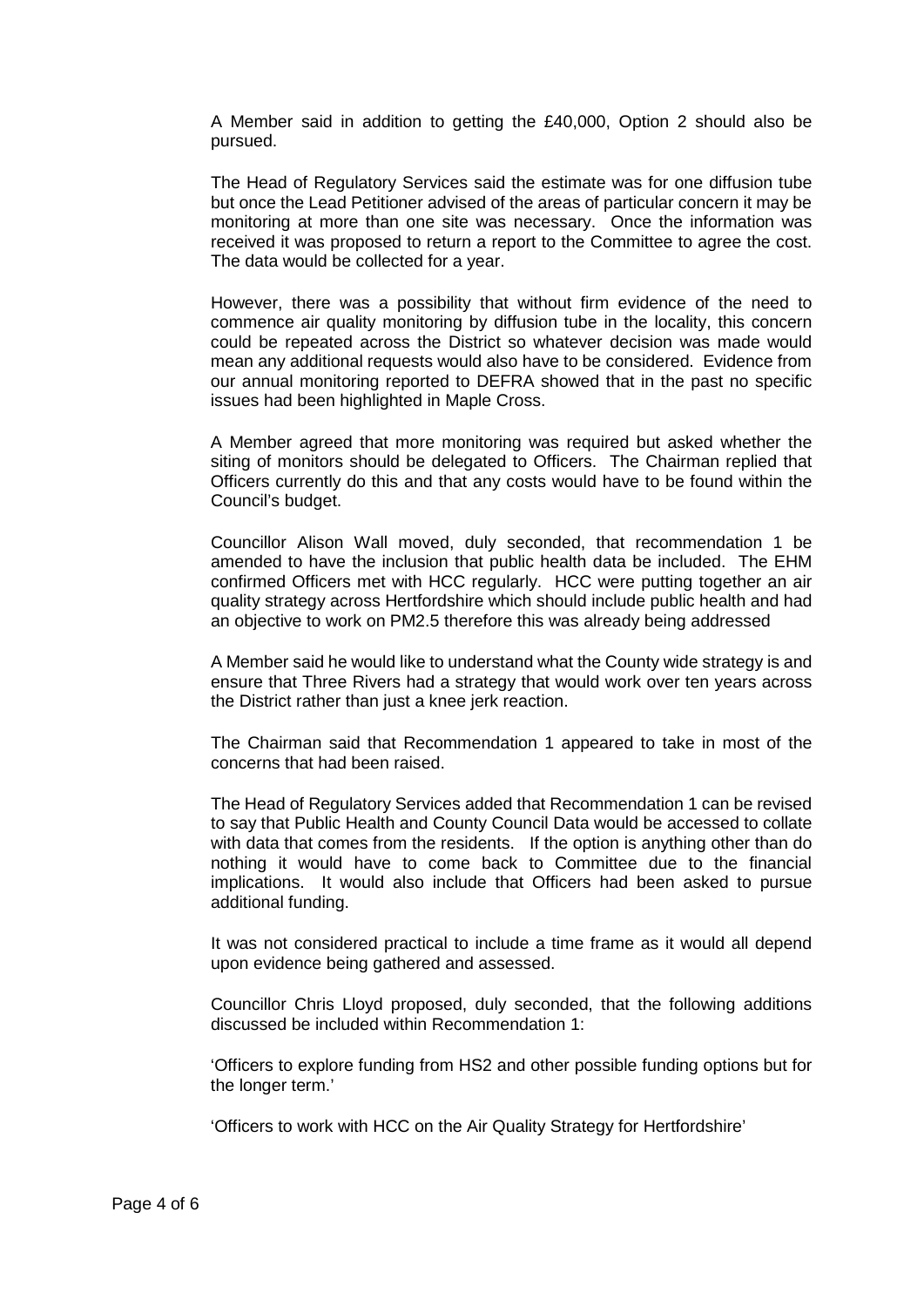A Member said in addition to getting the £40,000, Option 2 should also be pursued.

The Head of Regulatory Services said the estimate was for one diffusion tube but once the Lead Petitioner advised of the areas of particular concern it may be monitoring at more than one site was necessary. Once the information was received it was proposed to return a report to the Committee to agree the cost. The data would be collected for a year.

However, there was a possibility that without firm evidence of the need to commence air quality monitoring by diffusion tube in the locality, this concern could be repeated across the District so whatever decision was made would mean any additional requests would also have to be considered. Evidence from our annual monitoring reported to DEFRA showed that in the past no specific issues had been highlighted in Maple Cross.

A Member agreed that more monitoring was required but asked whether the siting of monitors should be delegated to Officers. The Chairman replied that Officers currently do this and that any costs would have to be found within the Council's budget.

Councillor Alison Wall moved, duly seconded, that recommendation 1 be amended to have the inclusion that public health data be included. The EHM confirmed Officers met with HCC regularly. HCC were putting together an air quality strategy across Hertfordshire which should include public health and had an objective to work on PM2.5 therefore this was already being addressed

A Member said he would like to understand what the County wide strategy is and ensure that Three Rivers had a strategy that would work over ten years across the District rather than just a knee jerk reaction.

The Chairman said that Recommendation 1 appeared to take in most of the concerns that had been raised.

The Head of Regulatory Services added that Recommendation 1 can be revised to say that Public Health and County Council Data would be accessed to collate with data that comes from the residents. If the option is anything other than do nothing it would have to come back to Committee due to the financial implications. It would also include that Officers had been asked to pursue additional funding.

It was not considered practical to include a time frame as it would all depend upon evidence being gathered and assessed.

Councillor Chris Lloyd proposed, duly seconded, that the following additions discussed be included within Recommendation 1:

'Officers to explore funding from HS2 and other possible funding options but for the longer term.'

'Officers to work with HCC on the Air Quality Strategy for Hertfordshire'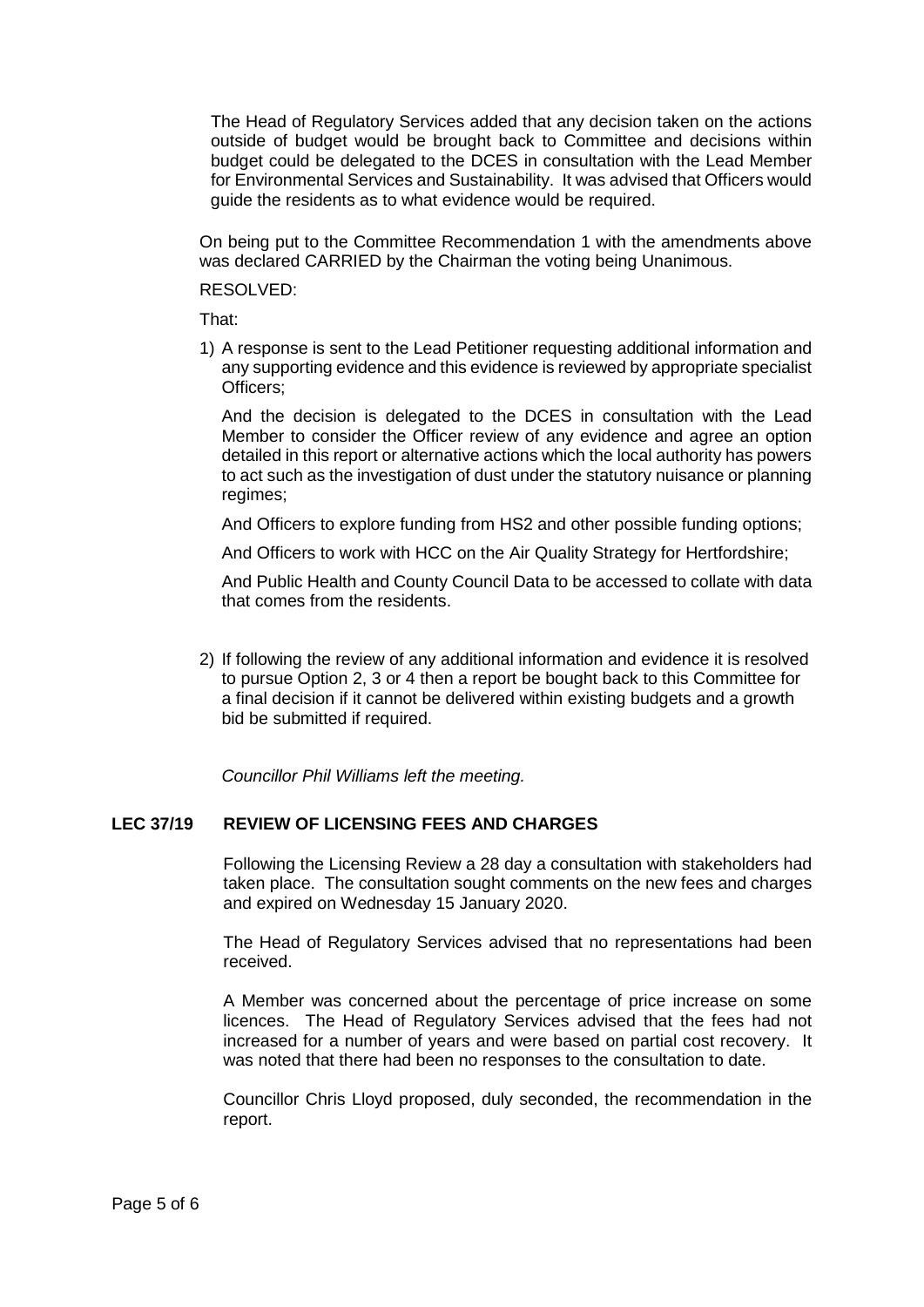The Head of Regulatory Services added that any decision taken on the actions outside of budget would be brought back to Committee and decisions within budget could be delegated to the DCES in consultation with the Lead Member for Environmental Services and Sustainability. It was advised that Officers would guide the residents as to what evidence would be required.

On being put to the Committee Recommendation 1 with the amendments above was declared CARRIED by the Chairman the voting being Unanimous.

RESOLVED:

That:

1) A response is sent to the Lead Petitioner requesting additional information and any supporting evidence and this evidence is reviewed by appropriate specialist Officers;

And the decision is delegated to the DCES in consultation with the Lead Member to consider the Officer review of any evidence and agree an option detailed in this report or alternative actions which the local authority has powers to act such as the investigation of dust under the statutory nuisance or planning regimes;

And Officers to explore funding from HS2 and other possible funding options;

And Officers to work with HCC on the Air Quality Strategy for Hertfordshire;

And Public Health and County Council Data to be accessed to collate with data that comes from the residents.

2) If following the review of any additional information and evidence it is resolved to pursue Option 2, 3 or 4 then a report be bought back to this Committee for a final decision if it cannot be delivered within existing budgets and a growth bid be submitted if required.

*Councillor Phil Williams left the meeting.*

# **LEC 37/19 REVIEW OF LICENSING FEES AND CHARGES**

Following the Licensing Review a 28 day a consultation with stakeholders had taken place. The consultation sought comments on the new fees and charges and expired on Wednesday 15 January 2020.

The Head of Regulatory Services advised that no representations had been received.

A Member was concerned about the percentage of price increase on some licences. The Head of Regulatory Services advised that the fees had not increased for a number of years and were based on partial cost recovery. It was noted that there had been no responses to the consultation to date.

Councillor Chris Lloyd proposed, duly seconded, the recommendation in the report.